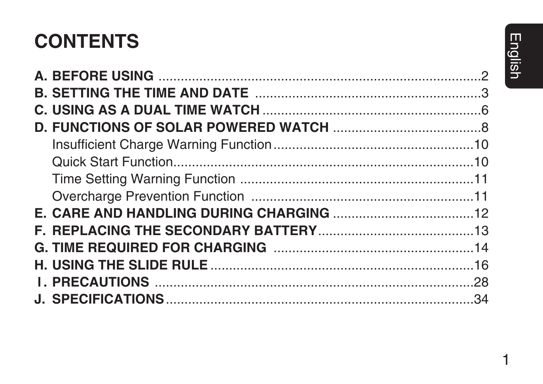# **CONTENTS**

 $\mathbf 1$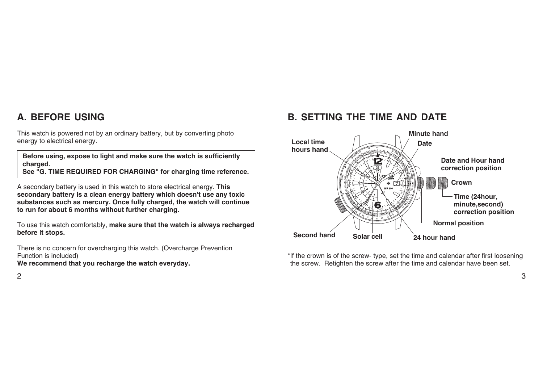## **A. BEFORE USING**

This watch is powered not by an ordinary battery, but by converting photo energy to electrical energy.

**Before using, expose to light and make sure the watch is sufficiently charged. See "G. TIME REQUIRED FOR CHARGING" for charging time reference.** 

A secondary battery is used in this watch to store electrical energy. **This secondary battery is a clean energy battery which doesn't use any toxic substances such as mercury. Once fully charged, the watch will continue to run for about 6 months without further charging.** 

To use this watch comfortably, **make sure that the watch is always recharged before it stops.**

There is no concern for overcharging this watch. (Overcharge Prevention Function is included)

### **We recommend that you recharge the watch everyday.**

# **B. SETTING THE TIME AND DATE**



\*If the crown is of the screw- type, set the time and calendar after first loosening the screw. Retighten the screw after the time and calendar have been set.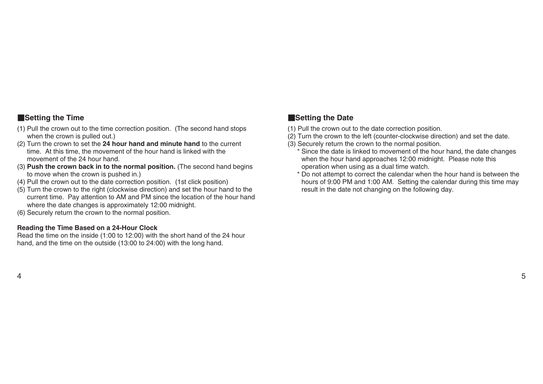### W**Setting the Time**

- (1) Pull the crown out to the time correction position. (The second hand stops when the crown is pulled out.)
- (2) Turn the crown to set the **24 hour hand and minute hand** to the current time. At this time, the movement of the hour hand is linked with the movement of the 24 hour hand.
- (3) **Push the crown back in to the normal position.** (The second hand begins to move when the crown is pushed in.)
- (4) Pull the crown out to the date correction position. (1st click position)
- (5) Turn the crown to the right (clockwise direction) and set the hour hand to the current time. Pay attention to AM and PM since the location of the hour hand where the date changes is approximately 12:00 midnight.
- (6) Securely return the crown to the normal position.

### **Reading the Time Based on a 24-Hour Clock**

Read the time on the inside (1:00 to 12:00) with the short hand of the 24 hour hand, and the time on the outside (13:00 to 24:00) with the long hand.

### W**Setting the Date**

- (1) Pull the crown out to the date correction position.
- $(2)$  Turn the crown to the left (counter-clockwise direction) and set the date.
- (3) Securely return the crown to the normal position.
	- \* Since the date is linked to movement of the hour hand, the date changes when the hour hand approaches 12:00 midnight. Please note this operation when using as a dual time watch.
	- \* Do not attempt to correct the calendar when the hour hand is between the hours of 9:00 PM and 1:00 AM. Setting the calendar during this time may result in the date not changing on the following day.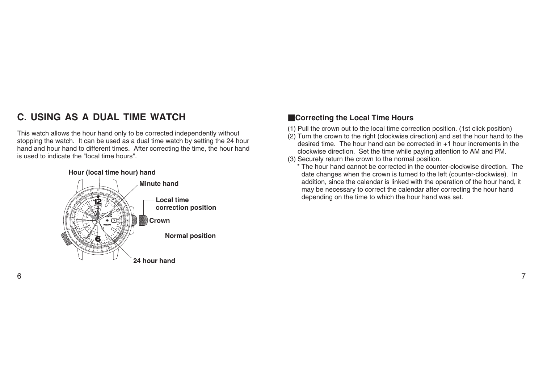# **C. USING AS A DUAL TIME WATCH**

This watch allows the hour hand only to be corrected independently without stopping the watch. It can be used as a dual time watch by setting the 24 hour hand and hour hand to different times. After correcting the time, the hour hand is used to indicate the "local time hours".



### **Exercting the Local Time Hours**

- (1) Pull the crown out to the local time correction position. (1st click position)
- (2) Turn the crown to the right (clockwise direction) and set the hour hand to the desired time. The hour hand can be corrected in +1 hour increments in the clockwise direction. Set the time while paying attention to AM and PM.
- (3) Securely return the crown to the normal position.
	- \* The hour hand cannot be corrected in the counter-clockwise direction. The date changes when the crown is turned to the left (counter-clockwise). In addition, since the calendar is linked with the operation of the hour hand, it may be necessary to correct the calendar after correcting the hour hand depending on the time to which the hour hand was set.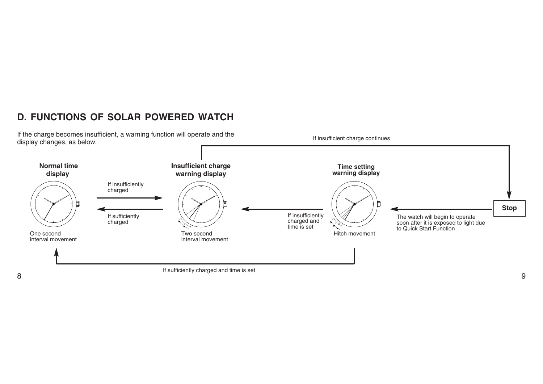# **D. FUNCTIONS OF SOLAR POWERED WATCH**

If the charge becomes insufficient, a warning function will operate and the display changes, as below.

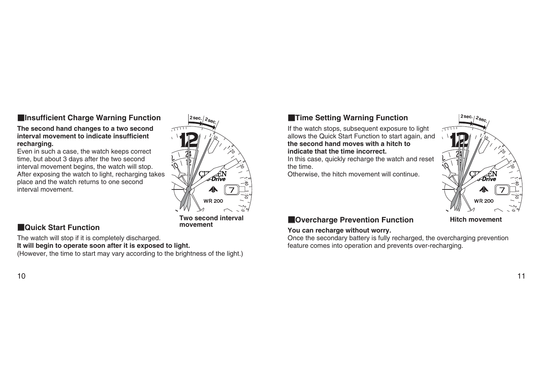### **Example 3 Insufficient Charge Warning Function**

### **The second hand changes to a two second interval movement to indicate insufficient recharging.**

Even in such a case, the watch keeps correct time, but about 3 days after the two second interval movement begins, the watch will stop. After exposing the watch to light, recharging takes place and the watch returns to one second interval movement.



**movement**

### **WAQuick Start Function**

The watch will stop if it is completely discharged. **It will begin to operate soon after it is exposed to light.**  (However, the time to start may vary according to the brightness of the light.)

### $10$

### **2sec.** ∕ 2<sub>sec.</sub> ⁄ 2sec. ⁄ 2sec. ⁄ 2sec. ⁄ 2sec. ⁄ 2sec. ⁄ 2sec.

If the watch stops, subsequent exposure to light allows the Quick Start Function to start again, and **the second hand moves with a hitch to indicate that the time incorrect.**

In this case, quickly recharge the watch and reset the time.

Otherwise, the hitch movement will continue.



### **MOvercharge Prevention Function**

### **You can recharge without worry.**

Once the secondary battery is fully recharged, the overcharging prevention feature comes into operation and prevents over-recharging.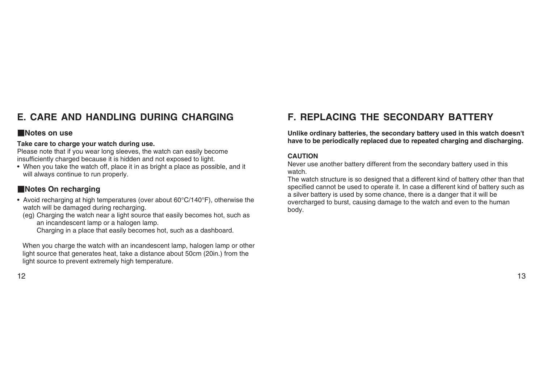# **E. CARE AND HANDLING DURING CHARGING**

### **Notes on use**

### **Take care to charge your watch during use.**

Please note that if you wear long sleeves, the watch can easily become insufficiently charged because it is hidden and not exposed to light.

• When you take the watch off, place it in as bright a place as possible, and it will always continue to run properly.

### **Notes On recharging**

• Avoid recharging at high temperatures (over about 60°C/140°F), otherwise the watch will be damaged during recharging.

(eg) Charging the watch near a light source that easily becomes hot, such as an incandescent lamp or a halogen lamp.

Charging in a place that easily becomes hot, such as a dashboard.

When you charge the watch with an incandescent lamp, halogen lamp or other light source that generates heat, take a distance about 50cm (20in.) from the light source to prevent extremely high temperature.

# **F. REPLACING THE SECONDARY BATTERY**

**Unlike ordinary batteries, the secondary battery used in this watch doesn't have to be periodically replaced due to repeated charging and discharging.**

### **CAUTION**

Never use another battery different from the secondary battery used in this watch.

The watch structure is so designed that a different kind of battery other than that specified cannot be used to operate it. In case a different kind of battery such as a silver battery is used by some chance, there is a danger that it will be overcharged to burst, causing damage to the watch and even to the human body.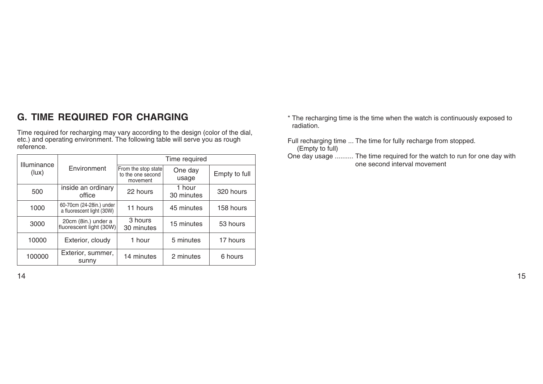# **G. TIME REQUIRED FOR CHARGING**

Time required for recharging may vary according to the design (color of the dial, etc.) and operating environment. The following table will serve you as rough reference.

| Illuminance |                                                       | Time required                                        |                      |               |  |
|-------------|-------------------------------------------------------|------------------------------------------------------|----------------------|---------------|--|
| (lux)       | Environment                                           | From the stop state<br>to the one second<br>movement | One day<br>usage     | Empty to full |  |
| 500         | inside an ordinary<br>office                          | 22 hours                                             | 1 hour<br>30 minutes | 320 hours     |  |
| 1000        | 60-70cm (24-28in.) under<br>a fluorescent light (30W) | 11 hours                                             | 45 minutes           | 158 hours     |  |
| 3000        | 20cm (8in.) under a<br>fluorescent light (30W)        | 3 hours<br>30 minutes                                | 15 minutes           | 53 hours      |  |
| 10000       | Exterior, cloudy                                      | 1 hour                                               | 5 minutes            | 17 hours      |  |
| 100000      | Exterior, summer,<br>sunny                            | 14 minutes                                           | 2 minutes            | 6 hours       |  |

- \* The recharging time is the time when the watch is continuously exposed to radiation.
- Full recharging time ... The time for fully recharge from stopped. (Empty to full)
- One day usage .......... The time required for the watch to run for one day with one second interval movement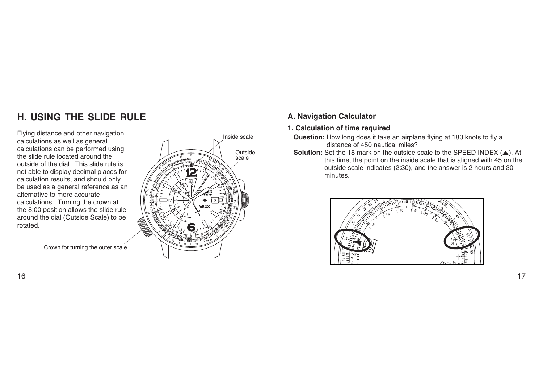# **H. USING THE SLIDE RULE**

Flying distance and other navigation calculations as well as general calculations can be performed using the slide rule located around the outside of the dial. This slide rule is not able to display decimal places for calculation results, and should only be used as a general reference as an alternative to more accurate calculations. Turning the crown at the 8:00 position allows the slide rule around the dial (Outside Scale) to be rotated.



Crown for turning the outer scale

### **A. Navigation Calculator**

**1. Calculation of time required**

- **Question:** How long does it take an airplane flying at 180 knots to fly a distance of 450 nautical miles?
- **Solution:** Set the 18 mark on the outside scale to the SPEED INDEX (A). At this time, the point on the inside scale that is aligned with 45 on the outside scale indicates (2:30), and the answer is 2 hours and 30 minutes.

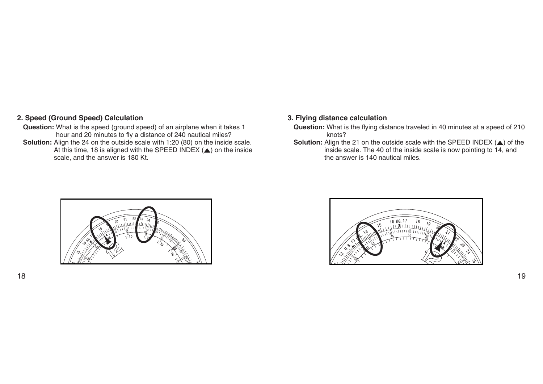### **2. Speed (Ground Speed) Calculation**

**Question:** What is the speed (ground speed) of an airplane when it takes 1 hour and 20 minutes to fly a distance of 240 nautical miles? **Solution:** Align the 24 on the outside scale with 1:20 (80) on the inside scale. At this time, 18 is aligned with the SPEED INDEX (Y) on the inside scale, and the answer is 180 Kt.

### **3. Flying distance calculation**

- **Question:** What is the flying distance traveled in 40 minutes at a speed of 210 knots?
- **Solution:** Align the 21 on the outside scale with the SPEED INDEX (A) of the inside scale. The 40 of the inside scale is now pointing to 14, and the answer is 140 nautical miles.



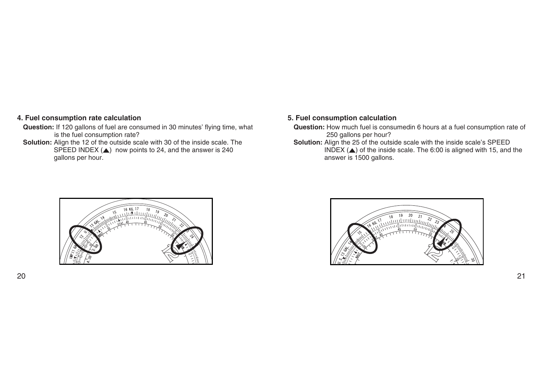### **4. Fuel consumption rate calculation**

- **Question:** If 120 gallons of fuel are consumed in 30 minutes' flying time, what is the fuel consumption rate?
- **Solution:** Align the 12 of the outside scale with 30 of the inside scale. The SPEED INDEX  $($ ) now points to 24, and the answer is 240 gallons per hour.

### **5. Fuel consumption calculation**

- **Question:** How much fuel is consumedin 6 hours at a fuel consumption rate of 250 gallons per hour?
- **Solution:** Align the 25 of the outside scale with the inside scale's SPEED INDEX  $(A)$  of the inside scale. The 6:00 is aligned with 15, and the answer is 1500 gallons.



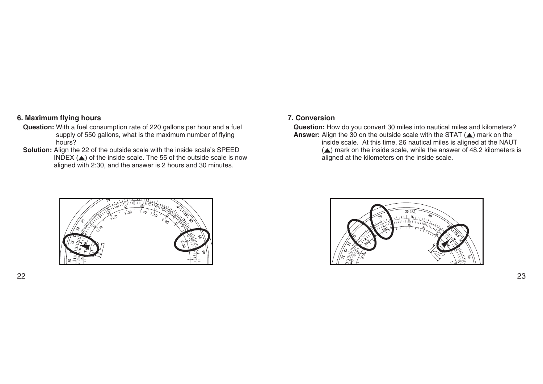### **6. Maximum flying hours**

- **Question:** With a fuel consumption rate of 220 gallons per hour and a fuel supply of 550 gallons, what is the maximum number of flying hours?
- **Solution:** Align the 22 of the outside scale with the inside scale's SPEED INDEX  $($ ) of the inside scale. The 55 of the outside scale is now aligned with 2:30, and the answer is 2 hours and 30 minutes.

### **7. Conversion**

**Question:** How do you convert 30 miles into nautical miles and kilometers? **Answer:** Align the  $30$  on the outside scale with the STAT  $(A)$  mark on the inside scale. At this time, 26 nautical miles is aligned at the NAUT

 $(A)$  mark on the inside scale, while the answer of 48.2 kilometers is aligned at the kilometers on the inside scale.



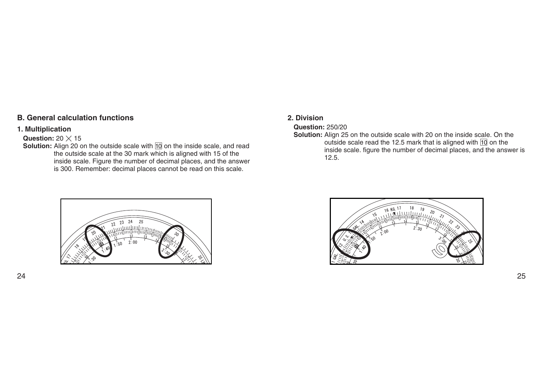### **B. General calculation functions**

### **1. Multiplication**

### **Question:**  $20 \times 15$

**Solution:** Align 20 on the outside scale with  $\overline{10}$  on the inside scale, and read the outside scale at the 30 mark which is aligned with 15 of the inside scale. Figure the number of decimal places, and the answer is 300. Remember: decimal places cannot be read on this scale.

### **2. Division**

### **Question:** 250/20

**Solution:** Align 25 on the outside scale with 20 on the inside scale. On the outside scale read the 12.5 mark that is aligned with  $\overline{10}$  on the inside scale. figure the number of decimal places, and the answer is 12.5.



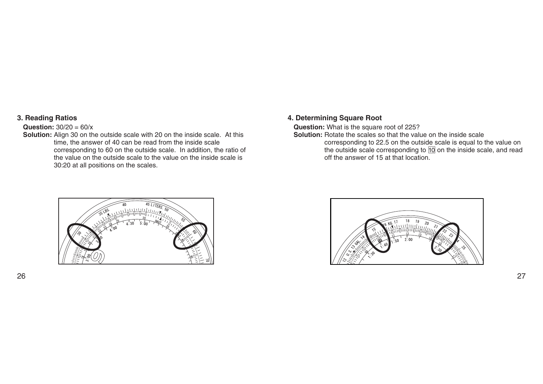### **3. Reading Ratios**

### **Question:** 30/20 = 60/x

**Solution:** Align 30 on the outside scale with 20 on the inside scale. At this time, the answer of 40 can be read from the inside scale corresponding to 60 on the outside scale. In addition, the ratio of the value on the outside scale to the value on the inside scale is 30:20 at all positions on the scales.

### **4. Determining Square Root**

**Question:** What is the square root of 225?

**Solution:** Rotate the scales so that the value on the inside scale

corresponding to 22.5 on the outside scale is equal to the value on the outside scale corresponding to  $\overline{10}$  on the inside scale, and read off the answer of 15 at that location.



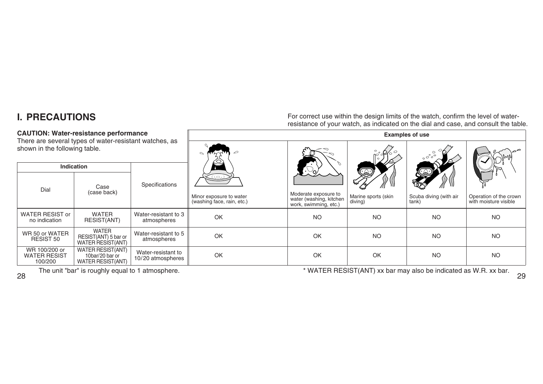# **I. PRECAUTIONS**

### **CAUTION: Water-resistance performance**

For correct use within the design limits of the watch, confirm the level of waterresistance of your watch, as indicated on the dial and case, and consult the table.

**Examples of use**

| There are several types of water-resistant watches, as |                                                           |                                         |                                                       |                                                                          |                                |                                 |                                                 |
|--------------------------------------------------------|-----------------------------------------------------------|-----------------------------------------|-------------------------------------------------------|--------------------------------------------------------------------------|--------------------------------|---------------------------------|-------------------------------------------------|
| shown in the following table.                          |                                                           |                                         | $\sim$                                                |                                                                          | $\mathscr{A}^{\circ}$          | $\circ\ ^\circ\ ^\circ\ ^\circ$ |                                                 |
| <b>Indication</b>                                      |                                                           |                                         |                                                       |                                                                          |                                |                                 |                                                 |
| Dial                                                   | Case                                                      | Specifications                          | (رت)                                                  |                                                                          | Q                              |                                 |                                                 |
|                                                        | (case back)                                               |                                         | Minor exposure to water<br>(washing face, rain, etc.) | Moderate exposure to<br>water (washing, kitchen<br>work, swimming, etc.) | Marine sports (skin<br>diving) | Scuba diving (with air<br>tank) | Operation of the crown<br>with moisture visible |
| <b>WATER RESIST or</b><br>no indication                | <b>WATER</b><br>RESIST(ANT)                               | Water-resistant to 3<br>atmospheres     | <b>OK</b>                                             | <b>NO</b>                                                                | <b>NO</b>                      | <b>NO</b>                       | <b>NO</b>                                       |
| WR 50 or WATER<br>RESIST 50                            | WATER<br>RESIST(ANT) 5 bar or<br><b>WATER RESIST(ANT)</b> | Water-resistant to 5<br>atmospheres     | OK                                                    | OK                                                                       | <b>NO</b>                      | <b>NO</b>                       | <b>NO</b>                                       |
| WR 100/200 or<br><b>WATER RESIST</b><br>100/200        | WATER RESIST(ANT)<br>10bar/20 bar or<br>WATER RESIST(ANT) | Water-resistant to<br>10/20 atmospheres | OK                                                    | OK                                                                       | OK                             | <b>NO</b>                       | <b>NO</b>                                       |

The unit "bar" is roughly equal to 1 atmosphere. The unit "bar" is roughly equal to 1 atmosphere.

28

29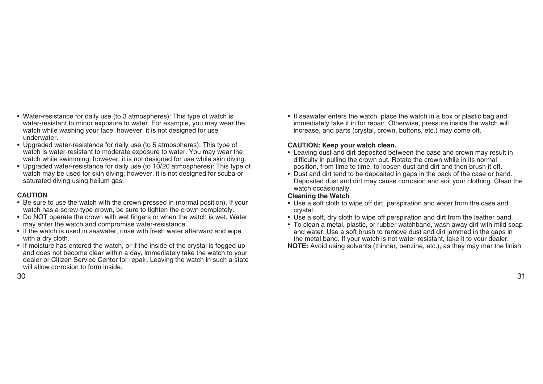- Water-resistance for daily use (to 3 atmospheres): This type of watch is water-resistant to minor exposure to water. For example, you may wear the watch while washing your face; however, it is not designed for use underwater.
- Upgraded water-resistance for daily use (to 5 atmospheres): This type of watch is water-resistant to moderate exposure to water. You may wear the watch while swimming; however, it is not designed for use while skin diving.
- Upgraded water-resistance for daily use (to 10/20 atmospheres): This type of watch may be used for skin diving; however, it is not designed for scuba or saturated diving using helium gas.

### **CAUTION**

- Be sure to use the watch with the crown pressed in (normal position). If your watch has a screw-type crown, be sure to tighten the crown completely.
- Do NOT operate the crown with wet fingers or when the watch is wet. Water may enter the watch and compromise water-resistance.
- If the watch is used in seawater, rinse with fresh water afterward and wipe with a dry cloth.
- If moisture has entered the watch, or if the inside of the crystal is fogged up and does not become clear within a day, immediately take the watch to your dealer or Citizen Service Center for repair. Leaving the watch in such a state will allow corrosion to form inside.

• If seawater enters the watch, place the watch in a box or plastic bag and immediately take it in for repair. Otherwise, pressure inside the watch will increase, and parts (crystal, crown, buttons, etc.) may come off.

### **CAUTION: Keep your watch clean.**

- Leaving dust and dirt deposited between the case and crown may result in difficulty in pulling the crown out. Rotate the crown while in its normal position, from time to time, to loosen dust and dirt and then brush it off.
- Dust and dirt tend to be deposited in gaps in the back of the case or band. Deposited dust and dirt may cause corrosion and soil your clothing. Clean the watch occasionally.

### **Cleaning the Watch**

- Use a soft cloth to wipe off dirt, perspiration and water from the case and crystal .
- Use a soft, dry cloth to wipe off perspiration and dirt from the leather band.
- To clean a metal, plastic, or rubber watchband, wash away dirt with mild soap and water. Use a soft brush to remove dust and dirt jammed in the gaps in the metal band. If your watch is not water-resistant, take it to your dealer.

**NOTE:** Avoid using solvents (thinner, benzine, etc.), as they may mar the finish.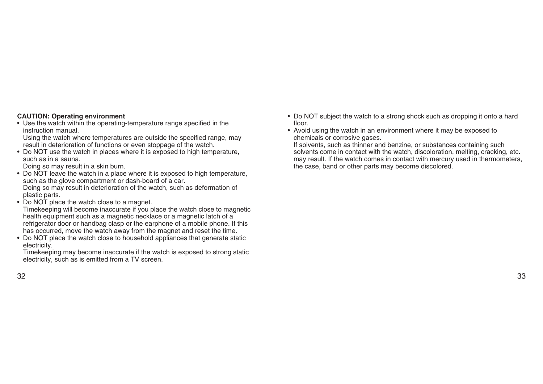### **CAUTION: Operating environment**

• Use the watch within the operating-temperature range specified in the instruction manual.

Using the watch where temperatures are outside the specified range, may result in deterioration of functions or even stoppage of the watch.

• Do NOT use the watch in places where it is exposed to high temperature, such as in a sauna.

Doing so may result in a skin burn.

- Do NOT Ieave the watch in a place where it is exposed to high temperature, such as the glove compartment or dash-board of a car. Doing so may result in deterioration of the watch, such as deformation of plastic parts.
- Do NOT place the watch close to a magnet.

Timekeeping will become inaccurate if you place the watch close to magnetic health equipment such as a magnetic necklace or a magnetic latch of a refrigerator door or handbag clasp or the earphone of a mobile phone. If this has occurred, move the watch away from the magnet and reset the time.

• Do NOT place the watch close to household appliances that generate static electricity.

Timekeeping may become inaccurate if the watch is exposed to strong static electricity, such as is emitted from a TV screen.

- Do NOT subject the watch to a strong shock such as dropping it onto a hard floor.
- Avoid using the watch in an environment where it may be exposed to chemicals or corrosive gases.

If solvents, such as thinner and benzine, or substances containing such solvents come in contact with the watch, discoloration, melting, cracking, etc. may result. If the watch comes in contact with mercury used in thermometers, the case, band or other parts may become discolored.